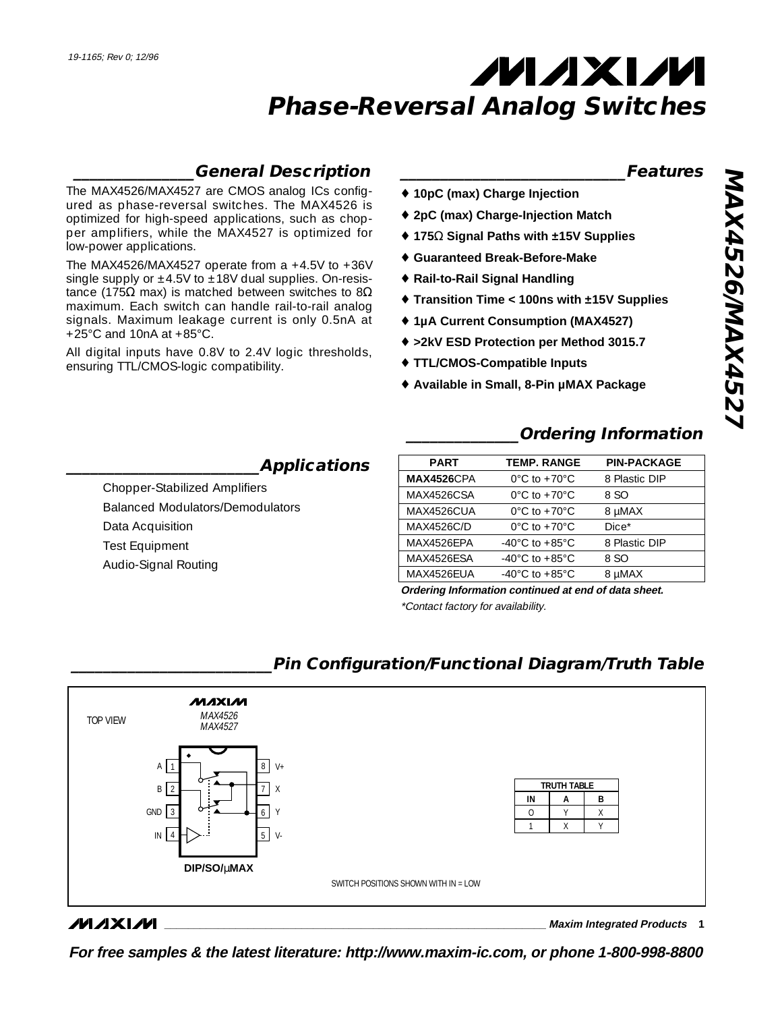### **\_\_\_\_\_\_\_\_\_\_\_\_\_\_\_General Description**

The MAX4526/MAX4527 are CMOS analog ICs configured as phase-reversal switches. The MAX4526 is optimized for high-speed applications, such as chopper amplifiers, while the MAX4527 is optimized for low-power applications.

The MAX4526/MAX4527 operate from a  $+4.5V$  to  $+36V$ single supply or  $\pm 4.5V$  to  $\pm 18V$  dual supplies. On-resistance (175Ω max) is matched between switches to  $8Ω$ maximum. Each switch can handle rail-to-rail analog signals. Maximum leakage current is only 0.5nA at +25°C and 10nA at +85°C.

All digital inputs have 0.8V to 2.4V logic thresholds, ensuring TTL/CMOS-logic compatibility.

#### **\_\_\_\_\_\_\_\_\_\_\_\_\_\_\_\_\_\_\_\_\_\_\_\_\_\_\_\_Features**

- ♦ **10pC (max) Charge Injection**
- ♦ **2pC (max) Charge-Injection Match**
- ♦ **175**Ω **Signal Paths with ±15V Supplies**
- ♦ **Guaranteed Break-Before-Make**
- ♦ **Rail-to-Rail Signal Handling**
- ♦ **Transition Time < 100ns with ±15V Supplies**
- ♦ **1µA Current Consumption (MAX4527)**
- ♦ **>2kV ESD Protection per Method 3015.7**
- ♦ **TTL/CMOS-Compatible Inputs**
- ♦ **Available in Small, 8-Pin µMAX Package**

# **\_\_\_\_\_\_\_\_\_\_\_\_\_\_Ordering Information**

| <b>PART</b>        | <b>TEMP, RANGE</b>                   | <b>PIN-PACKAGE</b> |
|--------------------|--------------------------------------|--------------------|
| <b>MAX4526</b> CPA | $0^{\circ}$ C to +70 $^{\circ}$ C    | 8 Plastic DIP      |
| MAX4526CSA         | $0^{\circ}$ C to +70 $^{\circ}$ C    | 8 SO               |
| MAX4526CUA         | $0^{\circ}$ C to +70 $^{\circ}$ C    | 8 µMAX             |
| <b>MAX4526C/D</b>  | $0^{\circ}$ C to +70 $^{\circ}$ C    | $Dice*$            |
| MAX4526FPA         | $-40^{\circ}$ C to $+85^{\circ}$ C   | 8 Plastic DIP      |
| MAX4526ESA         | -40 $^{\circ}$ C to +85 $^{\circ}$ C | 8 SO               |
| MAX4526FUA         | $-40^{\circ}$ C to $+85^{\circ}$ C   | 8 uMAX             |

**Ordering Information continued at end of data sheet.**

\*Contact factory for availability.

#### MAXIM MAX4526 TOP VIEW MAX4527 8  $V_{+}$ A 1 **TRUTH TABLE** 2 B X 7 **IN A B**  $\Omega$ Y X GND 3 6 Y 1 X Y  $\mathsf{IN} \mathsf{I} \mathsf{4} \mathsf{H} \mathsf{>}^{\ldots}$  5 | V-4

SWITCH POSITIONS SHOWN WITH IN = LOW

### **\_\_\_\_\_\_\_\_\_\_\_\_\_\_\_\_\_\_\_\_\_\_\_\_\_Pin Configuration/Functional Diagram/Truth Table**

#### **MAXIM**

**\_\_\_\_\_\_\_\_\_\_\_\_\_\_\_\_\_\_\_\_\_\_\_\_\_\_\_\_\_\_\_\_\_\_\_\_\_\_\_\_\_\_\_\_\_\_\_\_\_\_\_\_\_\_\_\_\_\_\_\_\_\_\_\_ Maxim Integrated Products 1**

**For free samples & the latest literature: http://www.maxim-ic.com, or phone 1-800-998-8800**

**\_\_\_\_\_\_\_\_\_\_\_\_\_\_\_\_\_\_\_\_\_\_\_\_Applications**

Chopper-Stabilized Amplifiers Balanced Modulators/Demodulators Data Acquisition Test Equipment Audio-Signal Routing

**DIP/SO/**µ**MAX**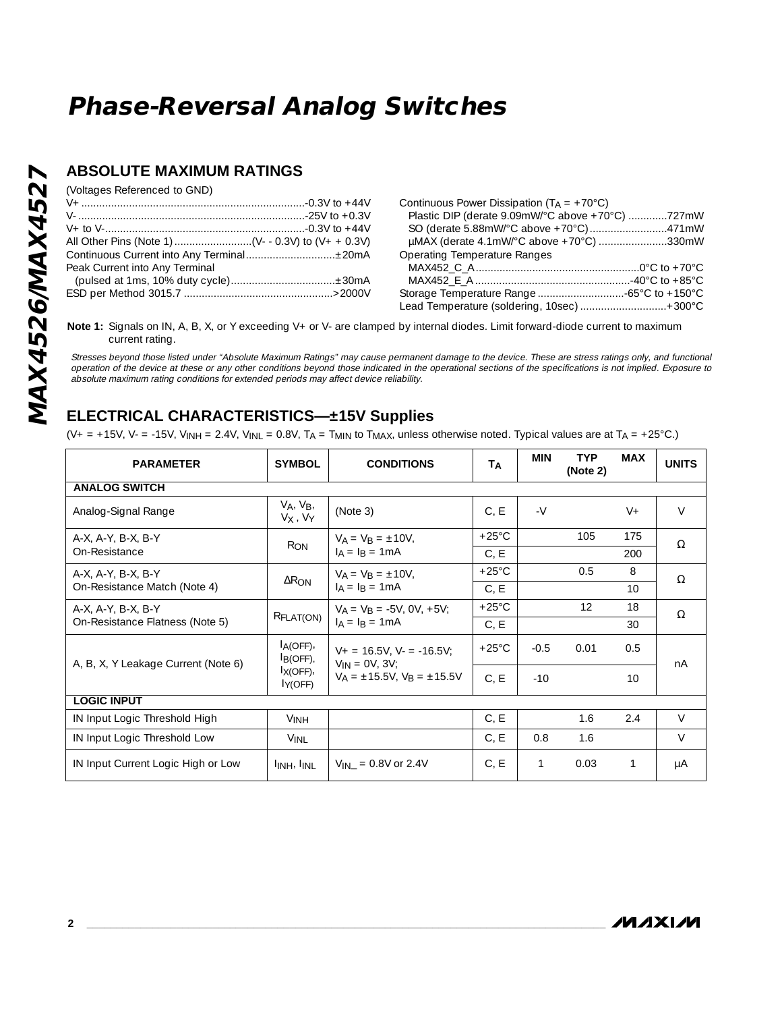### **ABSOLUTE MAXIMUM RATINGS**

(Voltages Referenced to GND)

| Peak Current into Any Terminal |  |
|--------------------------------|--|
|                                |  |
|                                |  |

| Continuous Power Dissipation ( $T_A = +70^{\circ}C$ ) |  |
|-------------------------------------------------------|--|
| Plastic DIP (derate 9.09mW/°C above +70°C) 727mW      |  |
|                                                       |  |
| µMAX (derate 4.1mW/°C above +70°C) 330mW              |  |
| Operating Temperature Ranges                          |  |
|                                                       |  |
|                                                       |  |
| Storage Temperature Range 65°C to +150°C              |  |
| Lead Temperature (soldering, 10sec)  + 300°C          |  |
|                                                       |  |

Note 1: Signals on IN, A, B, X, or Y exceeding V+ or V- are clamped by internal diodes. Limit forward-diode current to maximum current rating.

Stresses beyond those listed under "Absolute Maximum Ratings" may cause permanent damage to the device. These are stress ratings only, and functional operation of the device at these or any other conditions beyond those indicated in the operational sections of the specifications is not implied. Exposure to absolute maximum rating conditions for extended periods may affect device reliability.

### **ELECTRICAL CHARACTERISTICS—±15V Supplies**

 $(V_+ = +15V, V_- = -15V, V_{INH} = 2.4V, V_{INL} = 0.8V, T_A = T_{MIN}$  to  $T_{MAX}$ , unless otherwise noted. Typical values are at  $T_A = +25°C$ .)

| <b>PARAMETER</b>                                      | <b>SYMBOL</b>                                                  | <b>CONDITIONS</b>                                                                               | TA              | <b>MIN</b> | <b>TYP</b><br>(Note 2) | <b>MAX</b> | <b>UNITS</b> |
|-------------------------------------------------------|----------------------------------------------------------------|-------------------------------------------------------------------------------------------------|-----------------|------------|------------------------|------------|--------------|
| <b>ANALOG SWITCH</b>                                  |                                                                |                                                                                                 |                 |            |                        |            |              |
| Analog-Signal Range                                   | $V_A$ , $V_B$ ,<br>V <sub>X</sub> , V <sub>Y</sub>             | (Note 3)                                                                                        | C, E            | $-V$       |                        | $V_{+}$    | $\vee$       |
| A-X, A-Y, B-X, B-Y                                    | R <sub>ON</sub>                                                | $V_A = V_B = \pm 10V$ ,                                                                         |                 |            | 105                    | 175        | $\Omega$     |
| On-Resistance                                         |                                                                | $I_A = I_B = 1 mA$                                                                              | C, E            |            |                        | 200        |              |
| A-X, A-Y, B-X, B-Y                                    | $\Delta$ R <sub>ON</sub>                                       | $V_A = V_B = \pm 10V$ ,                                                                         | $+25^{\circ}$ C |            | 0.5                    | 8          | $\Omega$     |
| On-Resistance Match (Note 4)                          | $I_A = I_B = 1 mA$                                             |                                                                                                 | C, E            |            |                        | 10         |              |
| A-X, A-Y, B-X, B-Y<br>On-Resistance Flatness (Note 5) | RFLAT(ON)                                                      | $V_A = V_B = -5V$ , 0V, +5V;<br>$I_A = I_B = 1 mA$                                              | $+25^{\circ}$ C |            | 12                     | 18         | $\Omega$     |
|                                                       |                                                                |                                                                                                 | C, E            |            |                        | 30         |              |
| A, B, X, Y Leakage Current (Note 6)                   | $I_A(OFF)$ ,<br>I <sub>B(OFF)</sub><br>$I_{X(OFF)}$<br>IY(OFF) | $V_+ = 16.5V$ , $V_- = -16.5V$ ;<br>$V_{IN} = OV, 3V;$<br>$V_A = \pm 15.5V$ , $V_B = \pm 15.5V$ | $+25^{\circ}$ C | $-0.5$     | 0.01                   | 0.5        | nA           |
|                                                       |                                                                |                                                                                                 | C, E            | $-10$      |                        | 10         |              |
| <b>LOGIC INPUT</b>                                    |                                                                |                                                                                                 |                 |            |                        |            |              |
| IN Input Logic Threshold High                         | <b>VINH</b>                                                    |                                                                                                 | C, E            |            | 1.6                    | 2.4        | $\vee$       |
| IN Input Logic Threshold Low                          | <b>VINL</b>                                                    |                                                                                                 | C, E            | 0.8        | 1.6                    |            | V            |
| IN Input Current Logic High or Low                    | <b>INH, INL</b>                                                | $V_{IN}$ = 0.8V or 2.4V                                                                         | C, E            | 1          | 0.03                   | 1          | μA           |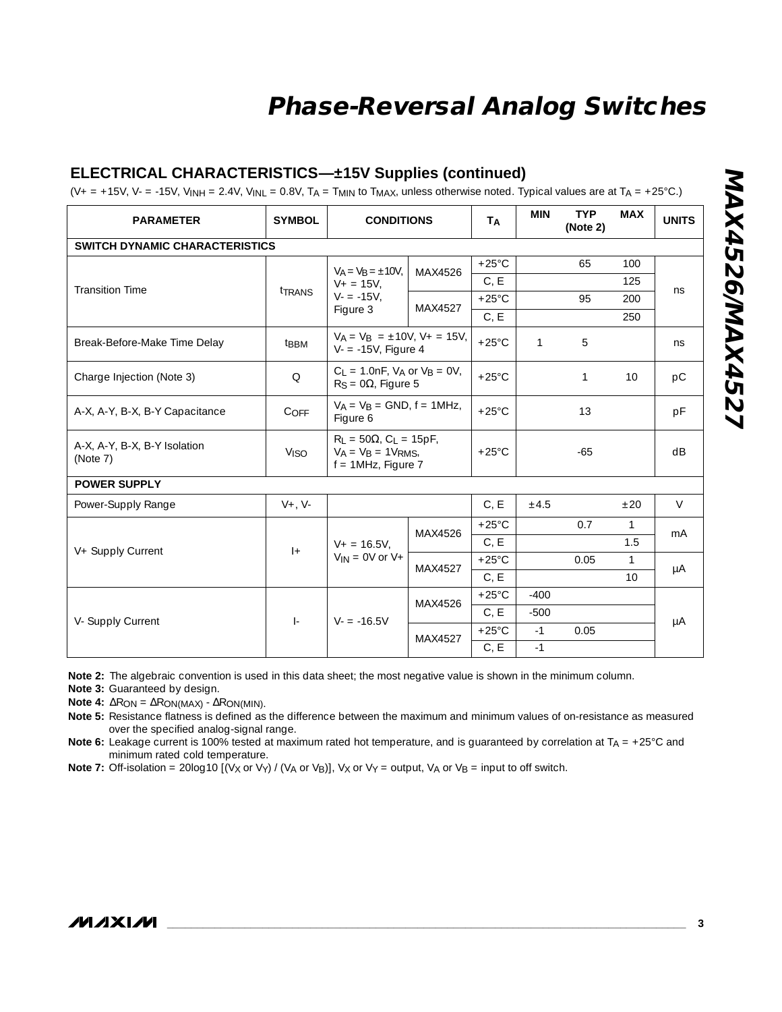### **ELECTRICAL CHARACTERISTICS—±15V Supplies (continued)**

(V+ = +15V, V- = -15V, V<sub>INH</sub> = 2.4V, V<sub>INL</sub> = 0.8V, T<sub>A</sub> = T<sub>MIN</sub> to T<sub>MAX</sub>, unless otherwise noted. Typical values are at T<sub>A</sub> = +25°C.)

| <b>PARAMETER</b>                         | <b>SYMBOL</b>     | <b>CONDITIONS</b>                                                                            |         | <b>TA</b>       | <b>MIN</b>   | <b>TYP</b><br>(Note 2) | <b>MAX</b>   | <b>UNITS</b> |
|------------------------------------------|-------------------|----------------------------------------------------------------------------------------------|---------|-----------------|--------------|------------------------|--------------|--------------|
| <b>SWITCH DYNAMIC CHARACTERISTICS</b>    |                   |                                                                                              |         |                 |              |                        |              |              |
|                                          | tTRANS            | $V_A = V_B = \pm 10V$ ,<br>$V_+ = 15V$ .<br>$V = -15V,$<br>Figure 3                          | MAX4526 | $+25^{\circ}$ C |              | 65                     | 100          | ns           |
| <b>Transition Time</b>                   |                   |                                                                                              |         | C, E            |              |                        | 125          |              |
|                                          |                   |                                                                                              | MAX4527 | $+25^{\circ}$ C |              | 95                     | 200          |              |
|                                          |                   |                                                                                              |         | C, E            |              |                        | 250          |              |
| Break-Before-Make Time Delay             | <sup>t</sup> BBM  | $V_A = V_B = \pm 10V$ , $V_+ = 15V$ ,<br>$V = -15V$ , Figure 4                               |         | $+25^{\circ}$ C | $\mathbf{1}$ | 5                      |              | ns.          |
| Charge Injection (Note 3)                | $\Omega$          | $C_L = 1.0nF$ , $V_A$ or $V_B = 0V$ ,<br>$R_S = 0\Omega$ , Figure 5                          |         | $+25^{\circ}$ C |              | 1                      | 10           | pC           |
| A-X, A-Y, B-X, B-Y Capacitance           | C <sub>OFF</sub>  | $V_A = V_B =$ GND, $f = 1$ MHz,<br>Figure 6                                                  |         | $+25^{\circ}$ C |              | 13                     |              | pF           |
| A-X, A-Y, B-X, B-Y Isolation<br>(Note 7) | V <sub>ISO</sub>  | $R_1 = 50\Omega$ , C <sub>1</sub> = 15pF,<br>$V_A = V_B = 1V_{RMS}$<br>$f = 1$ MHz, Figure 7 |         | $+25^{\circ}$ C |              | $-65$                  |              | dB           |
| <b>POWER SUPPLY</b>                      |                   |                                                                                              |         |                 |              |                        |              |              |
| Power-Supply Range                       | $V_{+}$ , $V_{-}$ |                                                                                              |         | C, E            | ±4.5         |                        | ±20          | $\vee$       |
|                                          | $ +$              | $V_+ = 16.5V$ .<br>$V_{IN} = 0V$ or $V +$                                                    | MAX4526 | $+25^{\circ}$ C |              | 0.7                    | $\mathbf{1}$ | mA           |
|                                          |                   |                                                                                              |         | C, E            |              |                        | 1.5          |              |
| V+ Supply Current                        |                   |                                                                                              | MAX4527 | $+25^{\circ}$ C |              | 0.05                   | $\mathbf{1}$ | μA           |
|                                          |                   |                                                                                              |         | C, E            |              |                        | 10           |              |
|                                          | $\vert$ -         | $V = -16.5V$                                                                                 | MAX4526 | $+25^{\circ}$ C | $-400$       |                        |              | μA           |
| V- Supply Current                        |                   |                                                                                              |         | C, E            | $-500$       |                        |              |              |
|                                          |                   |                                                                                              | MAX4527 | $+25^{\circ}$ C | $-1$         | 0.05                   |              |              |
|                                          |                   |                                                                                              |         | C, E            | $-1$         |                        |              |              |

**Note 2:** The algebraic convention is used in this data sheet; the most negative value is shown in the minimum column.

**Note 3:** Guaranteed by design.

**Note 4:** ∆RON = ∆RON(MAX) - ∆RON(MIN).

**Note 5:** Resistance flatness is defined as the difference between the maximum and minimum values of on-resistance as measured over the specified analog-signal range.

**Note 6:** Leakage current is 100% tested at maximum rated hot temperature, and is guaranteed by correlation at TA = +25°C and minimum rated cold temperature.

**Note 7:** Off-isolation = 20log10  $[(V \times \text{or } V \text{y}) / (V \times \text{or } V \text{g})]$ , Vx or V $\text{y}$  = output, VA or V<sub>B</sub> = input to off switch.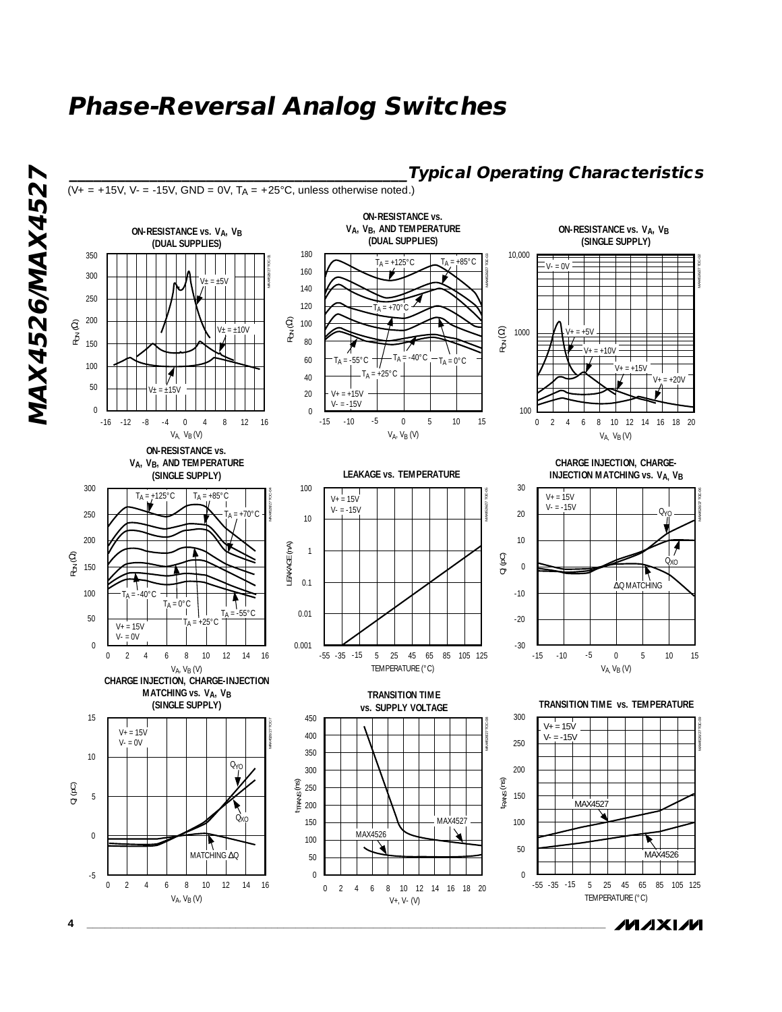

**MAXIM** 

MAX4526/MAX4527 **MAX4526/MAX4527**

**4 \_\_\_\_\_\_\_\_\_\_\_\_\_\_\_\_\_\_\_\_\_\_\_\_\_\_\_\_\_\_\_\_\_\_\_\_\_\_\_\_\_\_\_\_\_\_\_\_\_\_\_\_\_\_\_\_\_\_\_\_\_\_\_\_\_\_\_\_\_\_\_\_\_\_\_\_\_\_\_\_\_\_\_\_\_\_\_**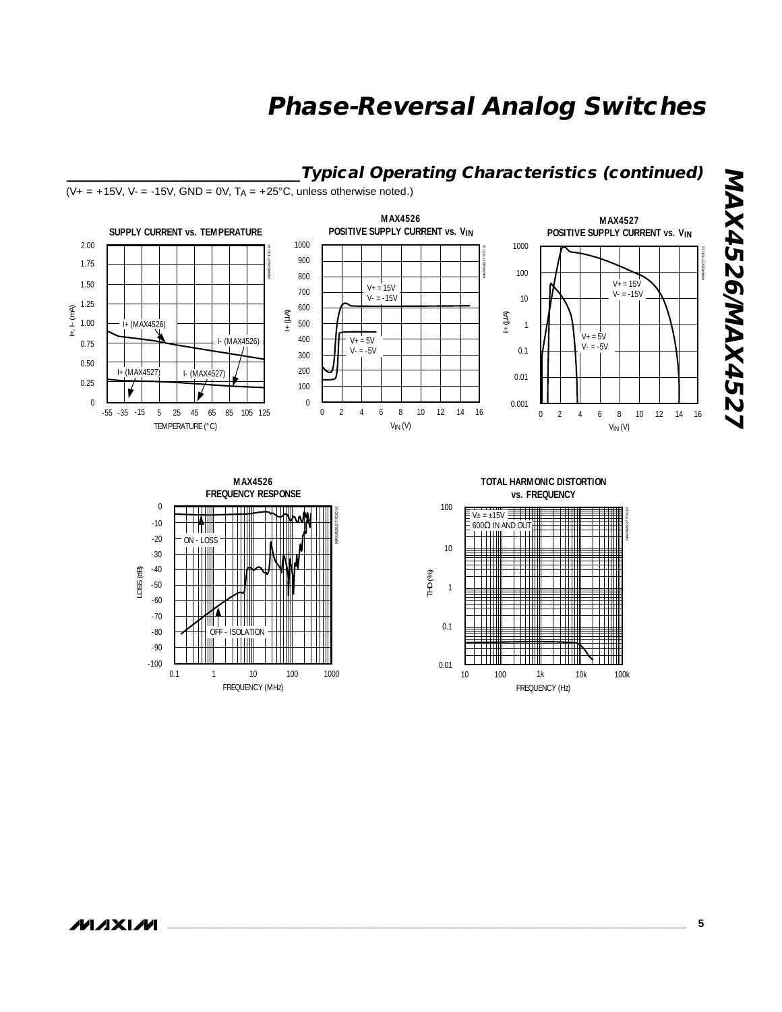### **\_\_\_\_\_\_\_\_\_\_\_\_\_\_\_\_\_\_\_\_\_\_\_\_\_\_\_\_\_Typical Operating Characteristics (continued)**

 $(V_+ = +15V, V_- = -15V, GND = 0V, T_A = +25°C, unless otherwise noted.)$ 



MAX4526/27-TOC-14



OFF - ISOLATION

<u> Timbul Sa</u>

0.1 1 10 100 1000

FREQUENCY (MHz)





-100

-80

-70

-90

LOSS (dB)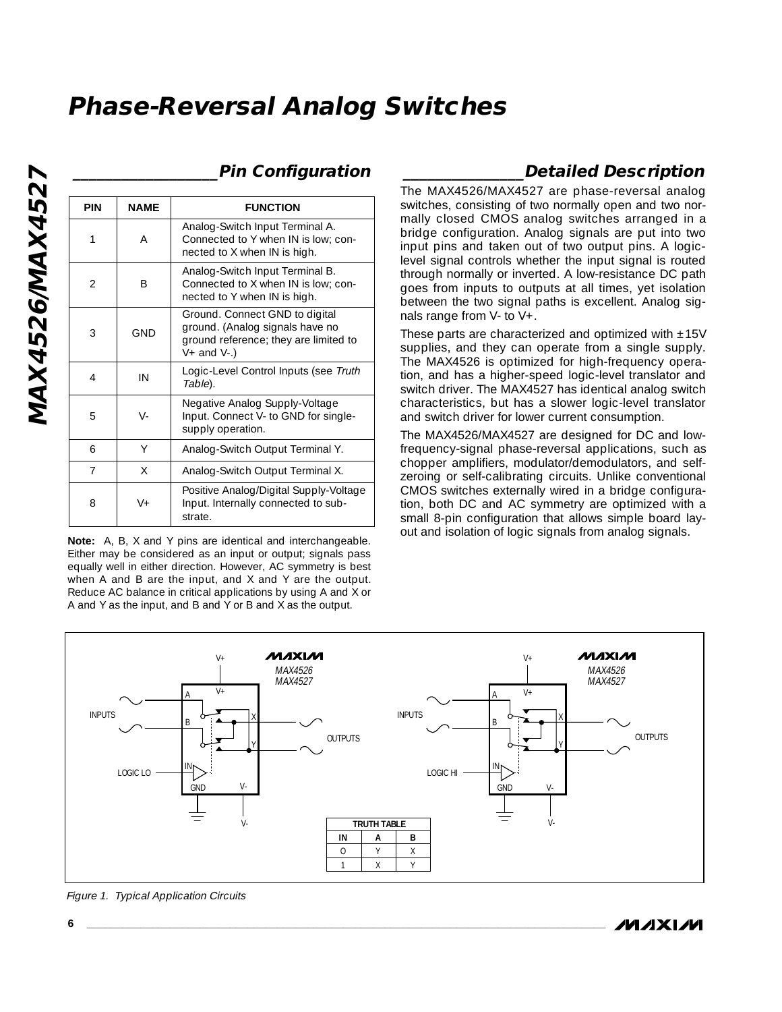| <b>PIN</b>     | <b>NAME</b> | <b>FUNCTION</b>                                                                                                                |
|----------------|-------------|--------------------------------------------------------------------------------------------------------------------------------|
| 1              | Α           | Analog-Switch Input Terminal A.<br>Connected to Y when IN is low; con-<br>nected to X when IN is high.                         |
| $\overline{2}$ | B           | Analog-Switch Input Terminal B.<br>Connected to X when IN is low: con-<br>nected to Y when IN is high.                         |
| 3              | <b>GND</b>  | Ground. Connect GND to digital<br>ground. (Analog signals have no<br>ground reference; they are limited to<br>$V+$ and $V-$ .) |
| 4              | IN          | Logic-Level Control Inputs (see Truth<br>Table).                                                                               |
| 5              | $V -$       | Negative Analog Supply-Voltage<br>Input. Connect V- to GND for single-<br>supply operation.                                    |
| 6              | Υ           | Analog-Switch Output Terminal Y.                                                                                               |
| $\overline{7}$ | X           | Analog-Switch Output Terminal X.                                                                                               |
| 8              | $V +$       | Positive Analog/Digital Supply-Voltage<br>Input. Internally connected to sub-<br>strate.                                       |

### **\_\_\_\_\_\_\_\_\_\_\_\_\_\_\_\_\_\_Pin Configuration**

**Note:** A, B, X and Y pins are identical and interchangeable. Either may be considered as an input or output; signals pass equally well in either direction. However, AC symmetry is best when A and B are the input, and X and Y are the output. Reduce AC balance in critical applications by using A and X or A and Y as the input, and B and Y or B and X as the output.

### **\_\_\_\_\_\_\_\_\_\_\_\_\_\_\_Detailed Description**

The MAX4526/MAX4527 are phase-reversal analog switches, consisting of two normally open and two normally closed CMOS analog switches arranged in a bridge configuration. Analog signals are put into two input pins and taken out of two output pins. A logiclevel signal controls whether the input signal is routed through normally or inverted. A low-resistance DC path goes from inputs to outputs at all times, yet isolation between the two signal paths is excellent. Analog signals range from V- to V+.

These parts are characterized and optimized with  $±15V$ supplies, and they can operate from a single supply. The MAX4526 is optimized for high-frequency operation, and has a higher-speed logic-level translator and switch driver. The MAX4527 has identical analog switch characteristics, but has a slower logic-level translator and switch driver for lower current consumption.

The MAX4526/MAX4527 are designed for DC and lowfrequency-signal phase-reversal applications, such as chopper amplifiers, modulator/demodulators, and selfzeroing or self-calibrating circuits. Unlike conventional CMOS switches externally wired in a bridge configuration, both DC and AC symmetry are optimized with a small 8-pin configuration that allows simple board layout and isolation of logic signals from analog signals.



Figure 1. Typical Application Circuits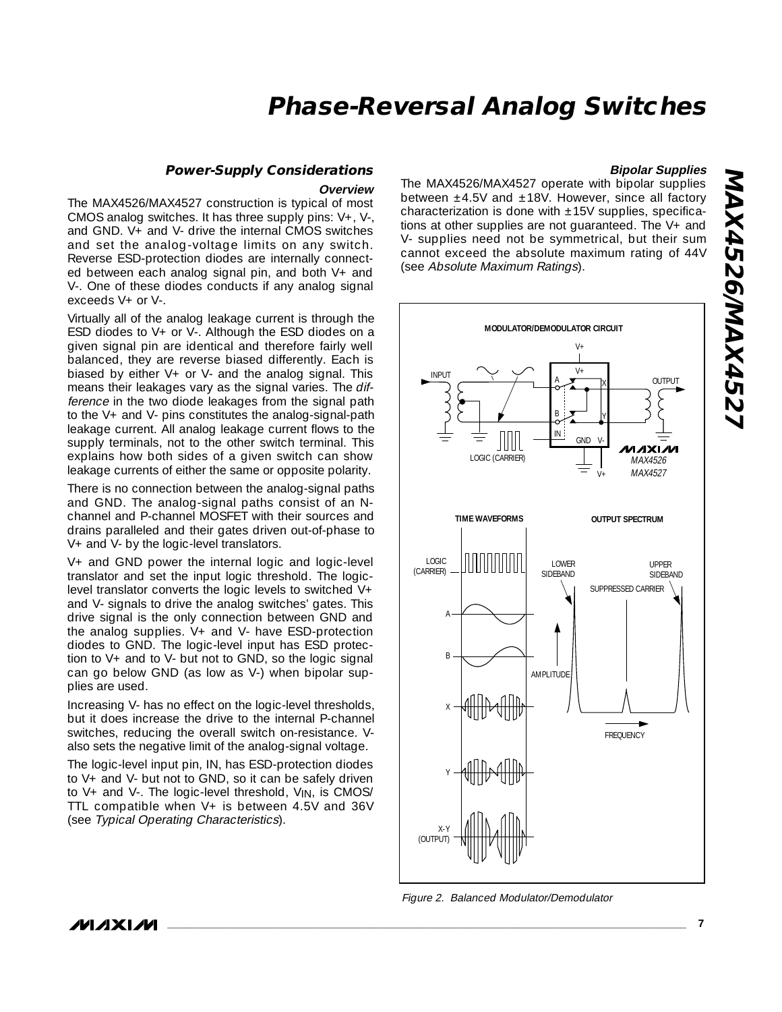### **Power-Supply Considerations**

**Overview**

The MAX4526/MAX4527 construction is typical of most CMOS analog switches. It has three supply pins: V+, V-, and GND. V+ and V- drive the internal CMOS switches and set the analog-voltage limits on any switch. Reverse ESD-protection diodes are internally connected between each analog signal pin, and both V+ and V-. One of these diodes conducts if any analog signal exceeds V+ or V-.

Virtually all of the analog leakage current is through the ESD diodes to  $V_+$  or  $V_-$ . Although the ESD diodes on a given signal pin are identical and therefore fairly well balanced, they are reverse biased differently. Each is biased by either  $V_+$  or  $V_+$  and the analog signal. This means their leakages vary as the signal varies. The difference in the two diode leakages from the signal path to the V+ and V- pins constitutes the analog-signal-path leakage current. All analog leakage current flows to the supply terminals, not to the other switch terminal. This explains how both sides of a given switch can show leakage currents of either the same or opposite polarity.

There is no connection between the analog-signal paths and GND. The analog-signal paths consist of an Nchannel and P-channel MOSFET with their sources and drains paralleled and their gates driven out-of-phase to V+ and V- by the logic-level translators.

V+ and GND power the internal logic and logic-level translator and set the input logic threshold. The logiclevel translator converts the logic levels to switched V+ and V- signals to drive the analog switches' gates. This drive signal is the only connection between GND and the analog supplies. V+ and V- have ESD-protection diodes to GND. The logic-level input has ESD protection to V+ and to V- but not to GND, so the logic signal can go below GND (as low as V-) when bipolar supplies are used.

Increasing V- has no effect on the logic-level thresholds, but it does increase the drive to the internal P-channel switches, reducing the overall switch on-resistance. Valso sets the negative limit of the analog-signal voltage.

The logic-level input pin, IN, has ESD-protection diodes to V+ and V- but not to GND, so it can be safely driven to V+ and V-. The logic-level threshold, V<sub>IN</sub>, is CMOS/ TTL compatible when V+ is between 4.5V and 36V (see Typical Operating Characteristics).

#### **Bipolar Supplies**

The MAX4526/MAX4527 operate with bipolar supplies between  $\pm$ 4.5V and  $\pm$ 18V. However, since all factory characterization is done with  $\pm 15V$  supplies, specifications at other supplies are not guaranteed. The V+ and V- supplies need not be symmetrical, but their sum cannot exceed the absolute maximum rating of 44V (see Absolute Maximum Ratings).



Figure 2. Balanced Modulator/Demodulator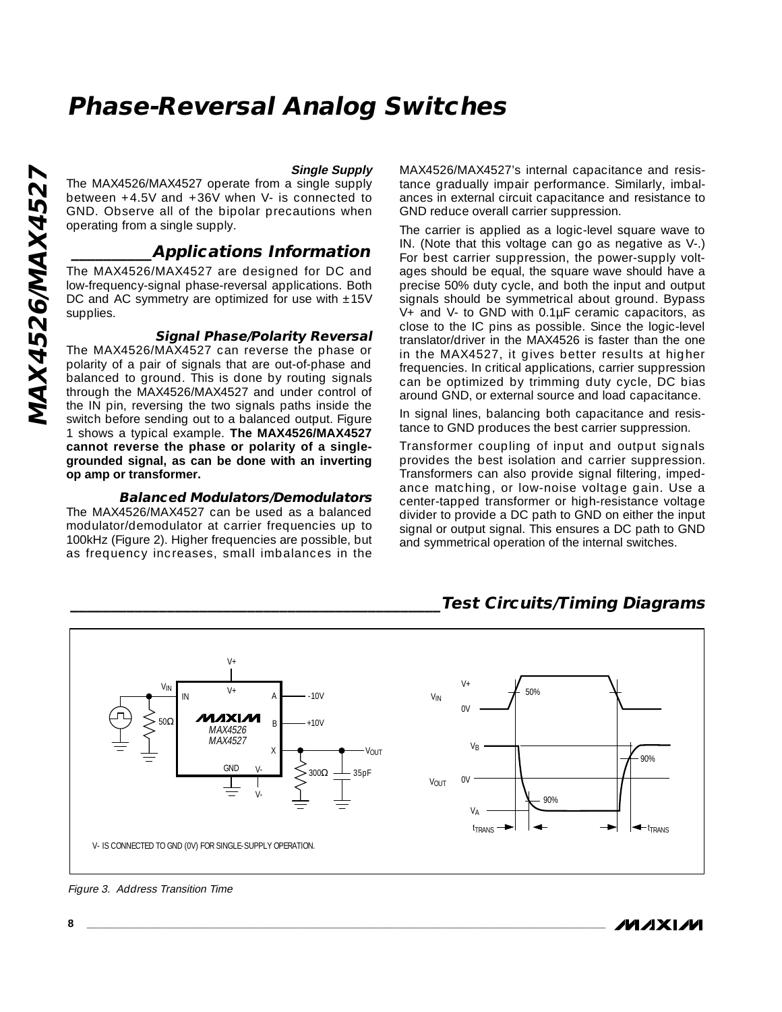#### **Single Supply**

The MAX4526/MAX4527 operate from a single supply between +4.5V and +36V when V- is connected to GND. Observe all of the bipolar precautions when operating from a single supply.

### **\_\_\_\_\_\_\_\_\_\_Applications Information**

The MAX4526/MAX4527 are designed for DC and low-frequency-signal phase-reversal applications. Both DC and AC symmetry are optimized for use with  $\pm 15V$ supplies.

#### **Signal Phase/Polarity Reversal**

The MAX4526/MAX4527 can reverse the phase or polarity of a pair of signals that are out-of-phase and balanced to ground. This is done by routing signals through the MAX4526/MAX4527 and under control of the IN pin, reversing the two signals paths inside the switch before sending out to a balanced output. Figure 1 shows a typical example. **The MAX4526/MAX4527 cannot reverse the phase or polarity of a singlegrounded signal, as can be done with an inverting op amp or transformer.**

#### **Balanced Modulators/Demodulators**

The MAX4526/MAX4527 can be used as a balanced modulator/demodulator at carrier frequencies up to 100kHz (Figure 2). Higher frequencies are possible, but as frequency increases, small imbalances in the

MAX4526/MAX4527's internal capacitance and resistance gradually impair performance. Similarly, imbalances in external circuit capacitance and resistance to GND reduce overall carrier suppression.

The carrier is applied as a logic-level square wave to IN. (Note that this voltage can go as negative as V-.) For best carrier suppression, the power-supply voltages should be equal, the square wave should have a precise 50% duty cycle, and both the input and output signals should be symmetrical about ground. Bypass V+ and V- to GND with 0.1µF ceramic capacitors, as close to the IC pins as possible. Since the logic-level translator/driver in the MAX4526 is faster than the one in the MAX4527, it gives better results at higher frequencies. In critical applications, carrier suppression can be optimized by trimming duty cycle, DC bias around GND, or external source and load capacitance.

In signal lines, balancing both capacitance and resistance to GND produces the best carrier suppression.

Transformer coupling of input and output signals provides the best isolation and carrier suppression. Transformers can also provide signal filtering, impedance matching, or low-noise voltage gain. Use a center-tapped transformer or high-resistance voltage divider to provide a DC path to GND on either the input signal or output signal. This ensures a DC path to GND and symmetrical operation of the internal switches.



### **\_\_\_\_\_\_\_\_\_\_\_\_\_\_\_\_\_\_\_\_\_\_\_\_\_\_\_\_\_\_\_\_\_\_\_\_\_\_\_\_\_\_\_\_\_\_Test Circuits/Timing Diagrams**

Figure 3. Address Transition Time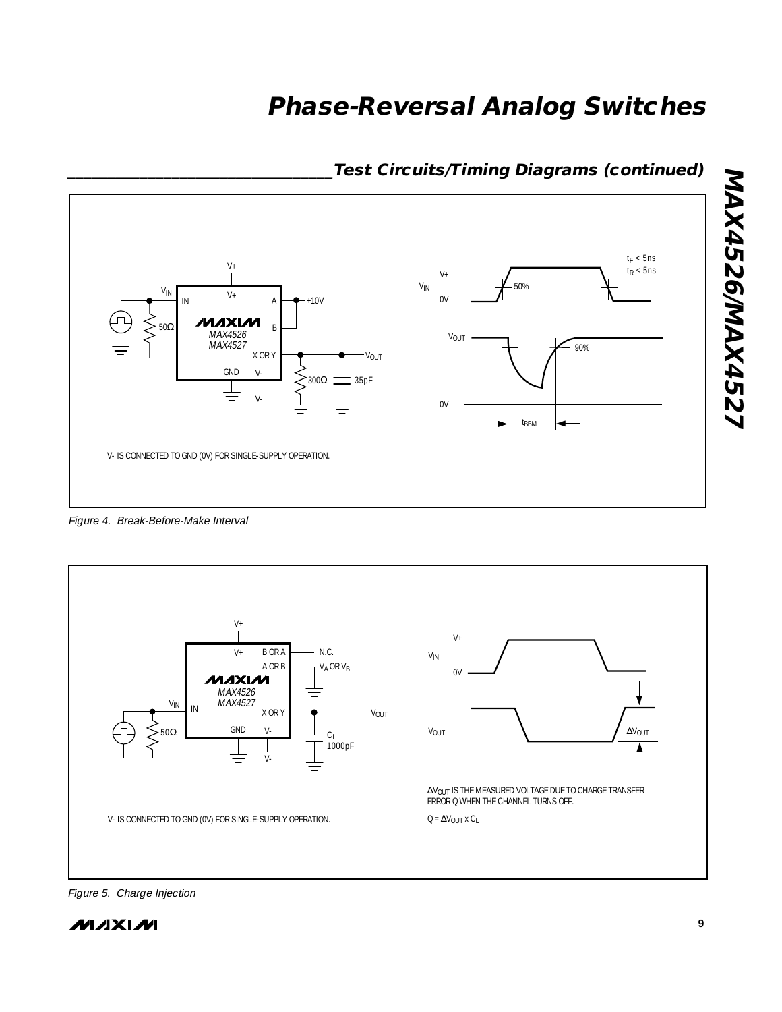

### **\_\_\_\_\_\_\_\_\_\_\_\_\_\_\_\_\_\_\_\_\_\_\_\_\_\_\_\_\_\_\_\_\_Test Circuits/Timing Diagrams (continued)**

Figure 4. Break-Before-Make Interval



**\_\_\_\_\_\_\_\_\_\_\_\_\_\_\_\_\_\_\_\_\_\_\_\_\_\_\_\_\_\_\_\_\_\_\_\_\_\_\_\_\_\_\_\_\_\_\_\_\_\_\_\_\_\_\_\_\_\_\_\_\_\_\_\_\_\_\_\_\_\_\_\_\_\_\_\_\_\_\_\_\_\_\_\_\_\_\_ 9**

Figure 5. Charge Injection



**MAX4526/MAX4527**

**MAX4526/MAX4527**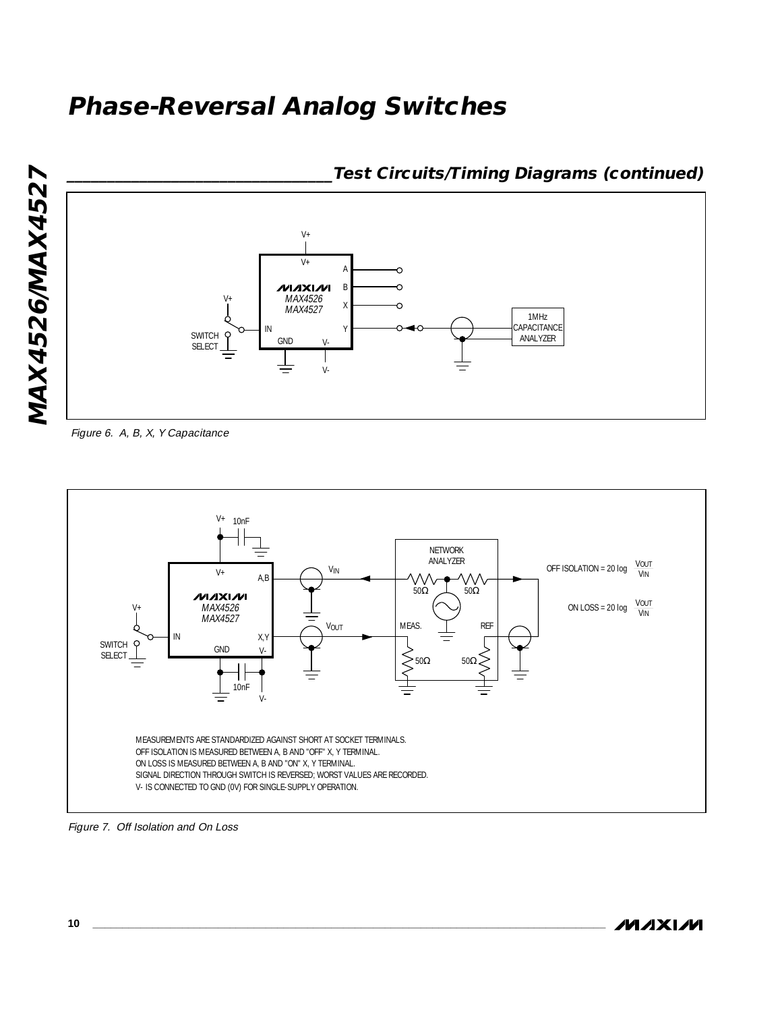

Figure 6. A, B, X, Y Capacitance



Figure 7. Off Isolation and On Loss

**\_\_\_\_\_\_\_\_\_\_\_\_\_\_\_\_\_\_\_\_\_\_\_\_\_\_\_\_\_\_\_\_\_Test Circuits/Timing Diagrams (continued)**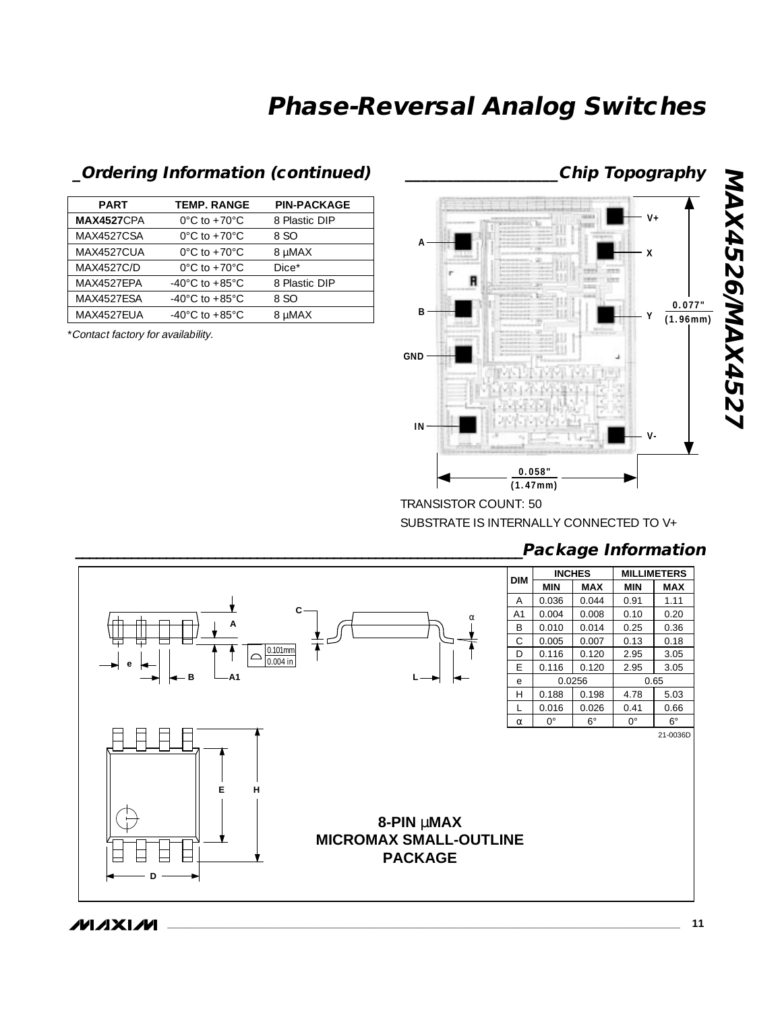#### **PART TEMP. RANGE PIN-PACKAGE MAX4527**CPA 0°C to +70°C 8 Plastic DIP MAX4527CSA 0°C to +70°C 8 SO MAX4527CUA  $0^{\circ}$ C to +70 $^{\circ}$ C 8 µMAX MAX4527C/D  $0^{\circ}$ C to +70 $^{\circ}$ C Dice\* MAX4527EPA -40°C to +85°C 8 Plastic DIP MAX4527ESA -40°C to +85°C 8 SO MAX4527EUA -40°C to +85°C 8 µMAX

\*Contact factory for availability.



TRANSISTOR COUNT: 50 SUBSTRATE IS INTERNALLY CONNECTED TO V+

### **\_\_\_\_\_\_\_\_\_\_\_\_\_\_\_\_\_\_\_\_\_\_\_\_\_\_\_\_\_\_\_\_\_\_\_\_\_\_\_\_\_\_\_\_\_\_\_\_\_\_\_\_\_\_\_\_\_\_\_\_\_\_\_\_Package Information**



**MAXM**